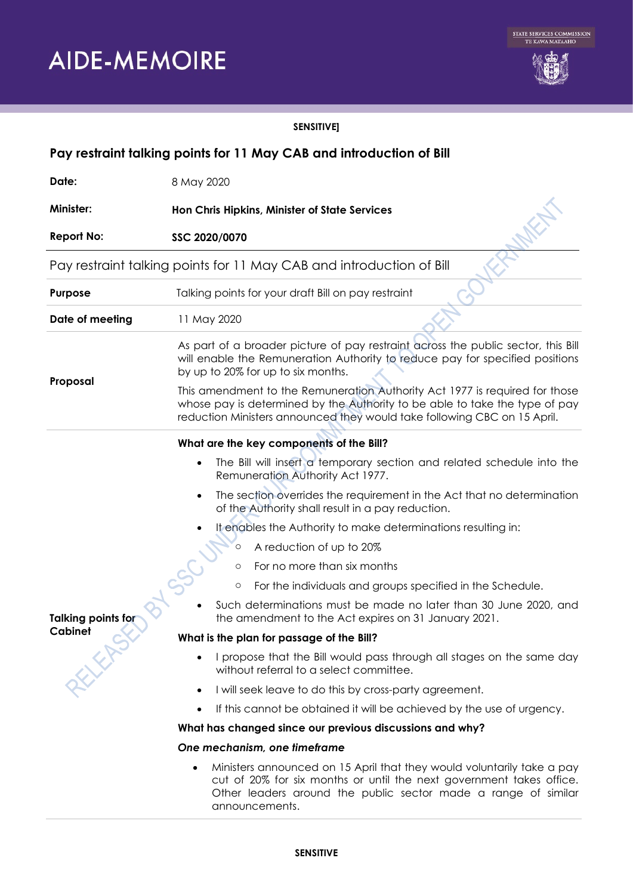

### **SENSITIVE]**

| Pay restraint talking points for 11 May CAB and introduction of Bill |                                                                                                                                                                                                                                        |
|----------------------------------------------------------------------|----------------------------------------------------------------------------------------------------------------------------------------------------------------------------------------------------------------------------------------|
| Date:                                                                | 8 May 2020                                                                                                                                                                                                                             |
| <b>Minister:</b>                                                     | Hon Chris Hipkins, Minister of State Services                                                                                                                                                                                          |
| <b>Report No:</b>                                                    | SSC 2020/0070                                                                                                                                                                                                                          |
| Pay restraint talking points for 11 May CAB and introduction of Bill |                                                                                                                                                                                                                                        |
| Purpose                                                              | Talking points for your draft Bill on pay restraint                                                                                                                                                                                    |
| Date of meeting                                                      | 11 May 2020                                                                                                                                                                                                                            |
| Proposal                                                             | As part of a broader picture of pay restraint across the public sector, this Bill<br>will enable the Remuneration Authority to reduce pay for specified positions<br>by up to 20% for up to six months.                                |
|                                                                      | This amendment to the Remuneration Authority Act 1977 is required for those<br>whose pay is determined by the Authority to be able to take the type of pay<br>reduction Ministers announced they would take following CBC on 15 April. |
|                                                                      | What are the key components of the Bill?                                                                                                                                                                                               |
| <b>Talking points for</b><br>REFERE<br>Cabinet                       | The Bill will insert a temporary section and related schedule into the<br>$\bullet$<br>Remuneration Authority Act 1977.                                                                                                                |
|                                                                      | The section overrides the requirement in the Act that no determination<br>$\bullet$<br>of the Authority shall result in a pay reduction.                                                                                               |
|                                                                      | It enables the Authority to make determinations resulting in:                                                                                                                                                                          |
|                                                                      | A reduction of up to 20%<br>$\circ$                                                                                                                                                                                                    |
|                                                                      | For no more than six months<br>$\circ$                                                                                                                                                                                                 |
|                                                                      | For the individuals and groups specified in the Schedule.<br>$\circ$                                                                                                                                                                   |
|                                                                      | Such determinations must be made no later than 30 June 2020, and<br>the amendment to the Act expires on 31 January 2021.                                                                                                               |
|                                                                      | What is the plan for passage of the Bill?                                                                                                                                                                                              |
|                                                                      | I propose that the Bill would pass through all stages on the same day<br>without referral to a select committee.                                                                                                                       |
|                                                                      | I will seek leave to do this by cross-party agreement.<br>$\bullet$                                                                                                                                                                    |
|                                                                      | If this cannot be obtained it will be achieved by the use of urgency.<br>$\bullet$                                                                                                                                                     |
|                                                                      | What has changed since our previous discussions and why?                                                                                                                                                                               |
|                                                                      | One mechanism, one timeframe                                                                                                                                                                                                           |
|                                                                      | Ministers announced on 15 April that they would voluntarily take a pay<br>cut of 20% for six months or until the next government takes office.<br>Other leaders around the public sector made a range of similar                       |

#### **SENSITIVE**

announcements.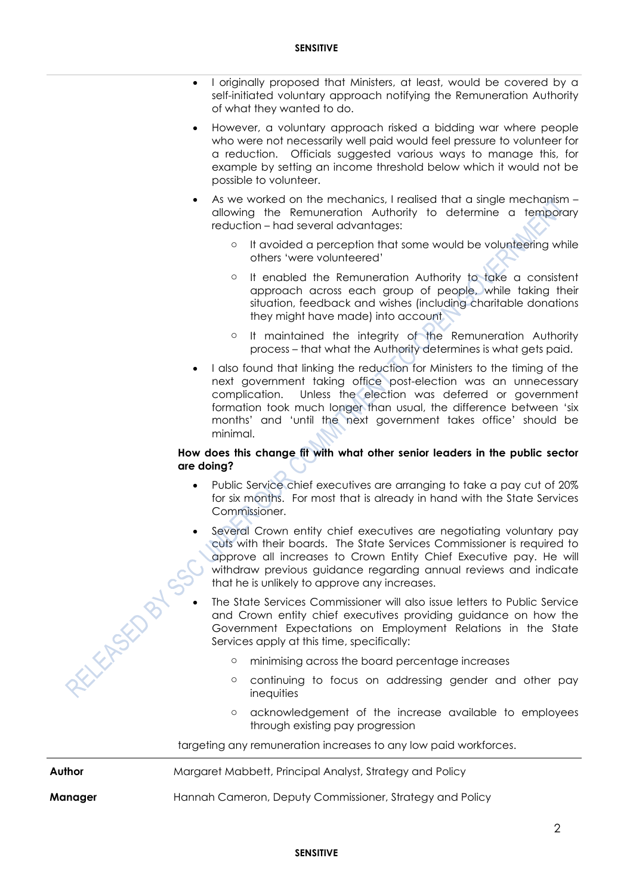- I originally proposed that Ministers, at least, would be covered by a self-initiated voluntary approach notifying the Remuneration Authority of what they wanted to do.
- However, a voluntary approach risked a bidding war where people who were not necessarily well paid would feel pressure to volunteer for a reduction. Officials suggested various ways to manage this, for example by setting an income threshold below which it would not be possible to volunteer.
- As we worked on the mechanics, I realised that a single mechanism allowing the Remuneration Authority to determine a temporary reduction – had several advantages:
	- o It avoided a perception that some would be volunteering while others 'were volunteered'
	- o It enabled the Remuneration Authority to take a consistent approach across each group of people, while taking their situation, feedback and wishes (including charitable donations they might have made) into account
	- o It maintained the integrity of the Remuneration Authority process – that what the Authority determines is what gets paid.
- I also found that linking the reduction for Ministers to the timing of the next government taking office post-election was an unnecessary complication. Unless the election was deferred or government formation took much longer than usual, the difference between 'six months' and 'until the next government takes office' should be minimal.

#### **How does this change fit with what other senior leaders in the public sector are doing?**

- Public Service chief executives are arranging to take a pay cut of 20% for six months. For most that is already in hand with the State Services Commissioner.
- Several Crown entity chief executives are negotiating voluntary pay cuts with their boards. The State Services Commissioner is required to approve all increases to Crown Entity Chief Executive pay. He will withdraw previous guidance regarding annual reviews and indicate that he is unlikely to approve any increases.
- The State Services Commissioner will also issue letters to Public Service and Crown entity chief executives providing guidance on how the Government Expectations on Employment Relations in the State Services apply at this time, specifically:
	- o minimising across the board percentage increases
	- o continuing to focus on addressing gender and other pay inequities
	- o acknowledgement of the increase available to employees through existing pay progression

targeting any remuneration increases to any low paid workforces.

RELEFFENCE

**Author** Margaret Mabbett, Principal Analyst, Strategy and Policy

**Manager** Hannah Cameron, Deputy Commissioner, Strategy and Policy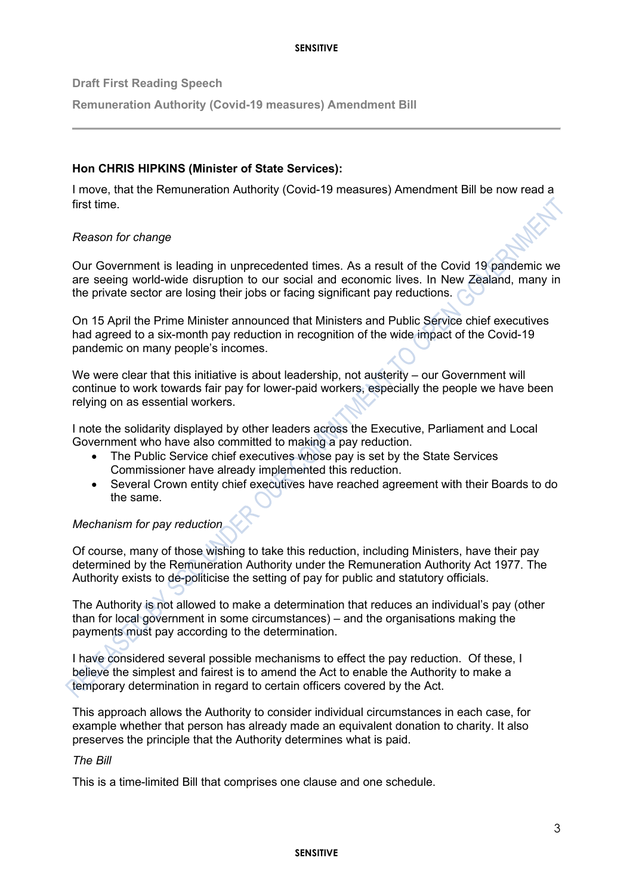#### **SENSITIVE**

**Draft First Reading Speech**

**Remuneration Authority (Covid-19 measures) Amendment Bill**

## **Hon CHRIS HIPKINS (Minister of State Services):**

I move, that the Remuneration Authority (Covid-19 measures) Amendment Bill be now read a first time.

### *Reason for change*

Our Government is leading in unprecedented times. As a result of the Covid 19 pandemic we are seeing world-wide disruption to our social and economic lives. In New Zealand, many in the private sector are losing their jobs or facing significant pay reductions.

On 15 April the Prime Minister announced that Ministers and Public Service chief executives had agreed to a six-month pay reduction in recognition of the wide impact of the Covid-19 pandemic on many people's incomes.

We were clear that this initiative is about leadership, not austerity – our Government will continue to work towards fair pay for lower-paid workers, especially the people we have been relying on as essential workers.

I note the solidarity displayed by other leaders across the Executive, Parliament and Local Government who have also committed to making a pay reduction.

- The Public Service chief executives whose pay is set by the State Services Commissioner have already implemented this reduction.
- Several Crown entity chief executives have reached agreement with their Boards to do the same.

# *Mechanism for pay reduction*

Of course, many of those wishing to take this reduction, including Ministers, have their pay determined by the Remuneration Authority under the Remuneration Authority Act 1977. The Authority exists to de-politicise the setting of pay for public and statutory officials.

The Authority is not allowed to make a determination that reduces an individual's pay (other than for local government in some circumstances) – and the organisations making the payments must pay according to the determination.

I have considered several possible mechanisms to effect the pay reduction. Of these, I believe the simplest and fairest is to amend the Act to enable the Authority to make a temporary determination in regard to certain officers covered by the Act.

This approach allows the Authority to consider individual circumstances in each case, for example whether that person has already made an equivalent donation to charity. It also preserves the principle that the Authority determines what is paid.

### *The Bill*

This is a time-limited Bill that comprises one clause and one schedule.